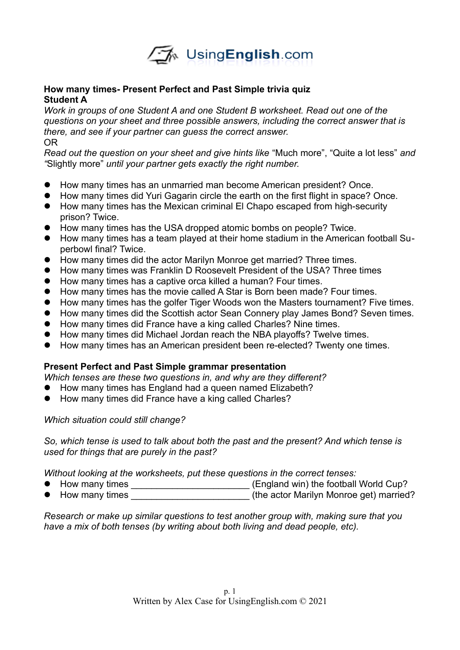

## **How many times- Present Perfect and Past Simple trivia quiz Student A**

*Work in groups of one Student A and one Student B worksheet. Read out one of the questions on your sheet and three possible answers, including the correct answer that is there, and see if your partner can guess the correct answer.*  OR

*Read out the question on your sheet and give hints like* "Much more", "Quite a lot less" *and "*Slightly more" *until your partner gets exactly the right number.* 

- How many times has an unmarried man become American president? Once.
- How many times did Yuri Gagarin circle the earth on the first flight in space? Once.
- How many times has the Mexican criminal El Chapo escaped from high-security prison? Twice.
- How many times has the USA dropped atomic bombs on people? Twice.
- How many times has a team played at their home stadium in the American football Superbowl final? Twice.
- How many times did the actor Marilyn Monroe get married? Three times.
- How many times was Franklin D Roosevelt President of the USA? Three times
- How many times has a captive orca killed a human? Four times.
- How many times has the movie called A Star is Born been made? Four times.
- How many times has the golfer Tiger Woods won the Masters tournament? Five times.
- How many times did the Scottish actor Sean Connery play James Bond? Seven times.
- How many times did France have a king called Charles? Nine times.
- How many times did Michael Jordan reach the NBA playoffs? Twelve times.
- How many times has an American president been re-elected? Twenty one times.

## **Present Perfect and Past Simple grammar presentation**

*Which tenses are these two questions in, and why are they different?*

- How many times has England had a queen named Elizabeth?
- How many times did France have a king called Charles?

*Which situation could still change?*

*So, which tense is used to talk about both the past and the present? And which tense is used for things that are purely in the past?*

*Without looking at the worksheets, put these questions in the correct tenses:*

- How many times \_\_\_\_\_\_\_\_\_\_\_\_\_\_\_\_\_\_\_\_\_\_\_\_\_\_(England win) the football World Cup?
- How many times \_\_\_\_\_\_\_\_\_\_\_\_\_\_\_\_\_\_\_\_\_\_\_\_\_\_\_\_(the actor Marilyn Monroe get) married?

*Research or make up similar questions to test another group with, making sure that you have a mix of both tenses (by writing about both living and dead people, etc).*